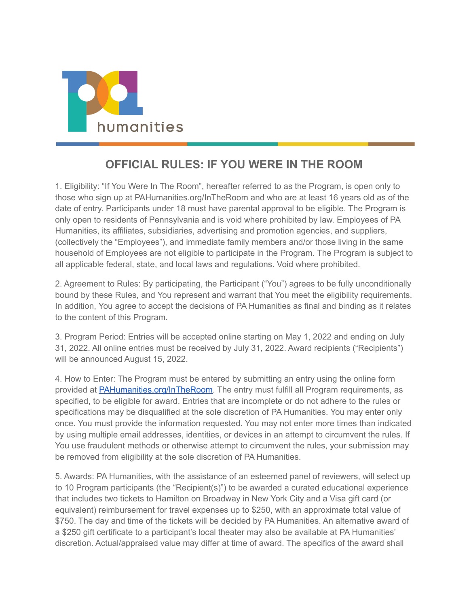

## **OFFICIAL RULES: IF YOU WERE IN THE ROOM**

1. Eligibility: "If You Were In The Room", hereafter referred to as the Program, is open only to those who sign up at PAHumanities.org/InTheRoom and who are at least 16 years old as of the date of entry. Participants under 18 must have parental approval to be eligible. The Program is only open to residents of Pennsylvania and is void where prohibited by law. Employees of PA Humanities, its affiliates, subsidiaries, advertising and promotion agencies, and suppliers, (collectively the "Employees"), and immediate family members and/or those living in the same household of Employees are not eligible to participate in the Program. The Program is subject to all applicable federal, state, and local laws and regulations. Void where prohibited.

2. Agreement to Rules: By participating, the Participant ("You") agrees to be fully unconditionally bound by these Rules, and You represent and warrant that You meet the eligibility requirements. In addition, You agree to accept the decisions of PA Humanities as final and binding as it relates to the content of this Program.

3. Program Period: Entries will be accepted online starting on May 1, 2022 and ending on July 31, 2022. All online entries must be received by July 31, 2022. Award recipients ("Recipients") will be announced August 15, 2022.

4. How to Enter: The Program must be entered by submitting an entry using the online form provided at [PAHumanities.org/InTheRoom.](https://www.pahumanities.org/InTheRoom) The entry must fulfill all Program requirements, as specified, to be eligible for award. Entries that are incomplete or do not adhere to the rules or specifications may be disqualified at the sole discretion of PA Humanities. You may enter only once. You must provide the information requested. You may not enter more times than indicated by using multiple email addresses, identities, or devices in an attempt to circumvent the rules. If You use fraudulent methods or otherwise attempt to circumvent the rules, your submission may be removed from eligibility at the sole discretion of PA Humanities.

5. Awards: PA Humanities, with the assistance of an esteemed panel of reviewers, will select up to 10 Program participants (the "Recipient(s)") to be awarded a curated educational experience that includes two tickets to Hamilton on Broadway in New York City and a Visa gift card (or equivalent) reimbursement for travel expenses up to \$250, with an approximate total value of \$750. The day and time of the tickets will be decided by PA Humanities. An alternative award of a \$250 gift certificate to a participant's local theater may also be available at PA Humanities' discretion. Actual/appraised value may differ at time of award. The specifics of the award shall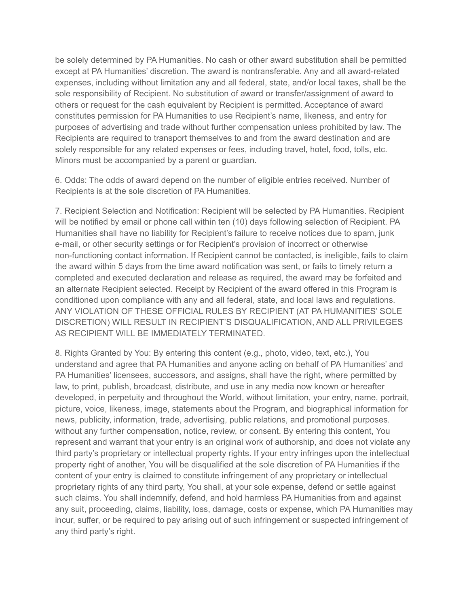be solely determined by PA Humanities. No cash or other award substitution shall be permitted except at PA Humanities' discretion. The award is nontransferable. Any and all award-related expenses, including without limitation any and all federal, state, and/or local taxes, shall be the sole responsibility of Recipient. No substitution of award or transfer/assignment of award to others or request for the cash equivalent by Recipient is permitted. Acceptance of award constitutes permission for PA Humanities to use Recipient's name, likeness, and entry for purposes of advertising and trade without further compensation unless prohibited by law. The Recipients are required to transport themselves to and from the award destination and are solely responsible for any related expenses or fees, including travel, hotel, food, tolls, etc. Minors must be accompanied by a parent or guardian.

6. Odds: The odds of award depend on the number of eligible entries received. Number of Recipients is at the sole discretion of PA Humanities.

7. Recipient Selection and Notification: Recipient will be selected by PA Humanities. Recipient will be notified by email or phone call within ten (10) days following selection of Recipient. PA Humanities shall have no liability for Recipient's failure to receive notices due to spam, junk e-mail, or other security settings or for Recipient's provision of incorrect or otherwise non-functioning contact information. If Recipient cannot be contacted, is ineligible, fails to claim the award within 5 days from the time award notification was sent, or fails to timely return a completed and executed declaration and release as required, the award may be forfeited and an alternate Recipient selected. Receipt by Recipient of the award offered in this Program is conditioned upon compliance with any and all federal, state, and local laws and regulations. ANY VIOLATION OF THESE OFFICIAL RULES BY RECIPIENT (AT PA HUMANITIES' SOLE DISCRETION) WILL RESULT IN RECIPIENT'S DISQUALIFICATION, AND ALL PRIVILEGES AS RECIPIENT WILL BE IMMEDIATELY TERMINATED.

8. Rights Granted by You: By entering this content (e.g., photo, video, text, etc.), You understand and agree that PA Humanities and anyone acting on behalf of PA Humanities' and PA Humanities' licensees, successors, and assigns, shall have the right, where permitted by law, to print, publish, broadcast, distribute, and use in any media now known or hereafter developed, in perpetuity and throughout the World, without limitation, your entry, name, portrait, picture, voice, likeness, image, statements about the Program, and biographical information for news, publicity, information, trade, advertising, public relations, and promotional purposes. without any further compensation, notice, review, or consent. By entering this content, You represent and warrant that your entry is an original work of authorship, and does not violate any third party's proprietary or intellectual property rights. If your entry infringes upon the intellectual property right of another, You will be disqualified at the sole discretion of PA Humanities if the content of your entry is claimed to constitute infringement of any proprietary or intellectual proprietary rights of any third party, You shall, at your sole expense, defend or settle against such claims. You shall indemnify, defend, and hold harmless PA Humanities from and against any suit, proceeding, claims, liability, loss, damage, costs or expense, which PA Humanities may incur, suffer, or be required to pay arising out of such infringement or suspected infringement of any third party's right.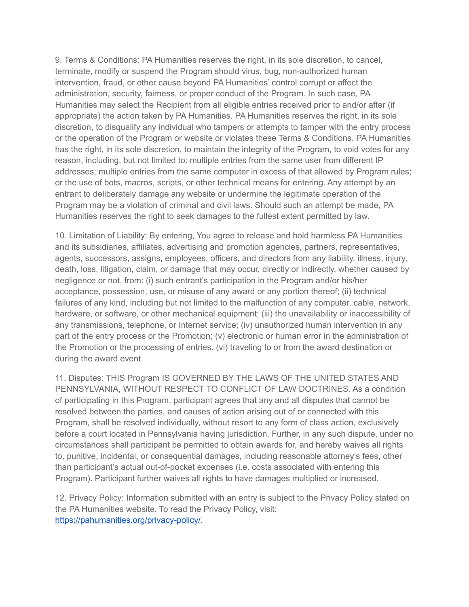9. Terms & Conditions: PA Humanities reserves the right, in its sole discretion, to cancel, terminate, modify or suspend the Program should virus, bug, non-authorized human intervention, fraud, or other cause beyond PA Humanities' control corrupt or affect the administration, security, fairness, or proper conduct of the Program. In such case, PA Humanities may select the Recipient from all eligible entries received prior to and/or after (if appropriate) the action taken by PA Humanities. PA Humanities reserves the right, in its sole discretion, to disqualify any individual who tampers or attempts to tamper with the entry process or the operation of the Program or website or violates these Terms & Conditions. PA Humanities has the right, in its sole discretion, to maintain the integrity of the Program, to void votes for any reason, including, but not limited to: multiple entries from the same user from different IP addresses; multiple entries from the same computer in excess of that allowed by Program rules; or the use of bots, macros, scripts, or other technical means for entering. Any attempt by an entrant to deliberately damage any website or undermine the legitimate operation of the Program may be a violation of criminal and civil laws. Should such an attempt be made, PA Humanities reserves the right to seek damages to the fullest extent permitted by law.

10. Limitation of Liability: By entering, You agree to release and hold harmless PA Humanities and its subsidiaries, affiliates, advertising and promotion agencies, partners, representatives, agents, successors, assigns, employees, officers, and directors from any liability, illness, injury, death, loss, litigation, claim, or damage that may occur, directly or indirectly, whether caused by negligence or not, from: (i) such entrant's participation in the Program and/or his/her acceptance, possession, use, or misuse of any award or any portion thereof; (ii) technical failures of any kind, including but not limited to the malfunction of any computer, cable, network, hardware, or software, or other mechanical equipment; (iii) the unavailability or inaccessibility of any transmissions, telephone, or Internet service; (iv) unauthorized human intervention in any part of the entry process or the Promotion; (v) electronic or human error in the administration of the Promotion or the processing of entries. (vi) traveling to or from the award destination or during the award event.

11. Disputes: THIS Program IS GOVERNED BY THE LAWS OF THE UNITED STATES AND PENNSYLVANIA, WITHOUT RESPECT TO CONFLICT OF LAW DOCTRINES. As a condition of participating in this Program, participant agrees that any and all disputes that cannot be resolved between the parties, and causes of action arising out of or connected with this Program, shall be resolved individually, without resort to any form of class action, exclusively before a court located in Pennsylvania having jurisdiction. Further, in any such dispute, under no circumstances shall participant be permitted to obtain awards for, and hereby waives all rights to, punitive, incidental, or consequential damages, including reasonable attorney's fees, other than participant's actual out-of-pocket expenses (i.e. costs associated with entering this Program). Participant further waives all rights to have damages multiplied or increased.

12. Privacy Policy: Information submitted with an entry is subject to the Privacy Policy stated on the PA Humanities website. To read the Privacy Policy, visit: <https://pahumanities.org/privacy-policy/>.